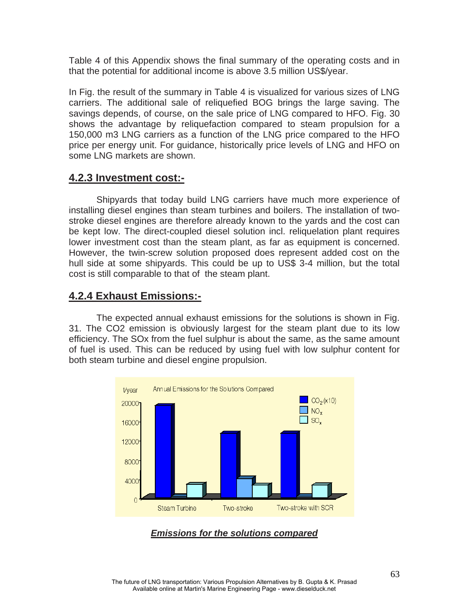Table 4 of this Appendix shows the final summary of the operating costs and in that the potential for additional income is above 3.5 million US\$/year.

In Fig. the result of the summary in Table 4 is visualized for various sizes of LNG carriers. The additional sale of reliquefied BOG brings the large saving. The savings depends, of course, on the sale price of LNG compared to HFO. Fig. 30 shows the advantage by reliquefaction compared to steam propulsion for a 150,000 m3 LNG carriers as a function of the LNG price compared to the HFO price per energy unit. For guidance, historically price levels of LNG and HFO on some LNG markets are shown.

### **4.2.3 Investment cost:-**

Shipyards that today build LNG carriers have much more experience of installing diesel engines than steam turbines and boilers. The installation of twostroke diesel engines are therefore already known to the yards and the cost can be kept low. The direct-coupled diesel solution incl. reliquelation plant requires lower investment cost than the steam plant, as far as equipment is concerned. However, the twin-screw solution proposed does represent added cost on the hull side at some shipyards. This could be up to US\$ 3-4 million, but the total cost is still comparable to that of the steam plant.

### **4.2.4 Exhaust Emissions:-**

The expected annual exhaust emissions for the solutions is shown in Fig. 31. The CO2 emission is obviously largest for the steam plant due to its low efficiency. The SOx from the fuel sulphur is about the same, as the same amount of fuel is used. This can be reduced by using fuel with low sulphur content for both steam turbine and diesel engine propulsion.



*Emissions for the solutions compared*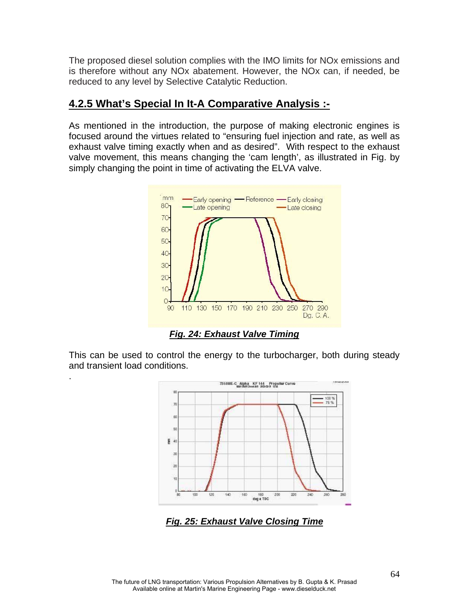The proposed diesel solution complies with the IMO limits for NOx emissions and is therefore without any NOx abatement. However, the NOx can, if needed, be reduced to any level by Selective Catalytic Reduction.

## **4.2.5 What's Special In It-A Comparative Analysis :-**

As mentioned in the introduction, the purpose of making electronic engines is focused around the virtues related to "ensuring fuel injection and rate, as well as exhaust valve timing exactly when and as desired". With respect to the exhaust valve movement, this means changing the 'cam length', as illustrated in Fig. by simply changing the point in time of activating the ELVA valve.



*Fig. 24: Exhaust Valve Timing*

This can be used to control the energy to the turbocharger, both during steady and transient load conditions.

.



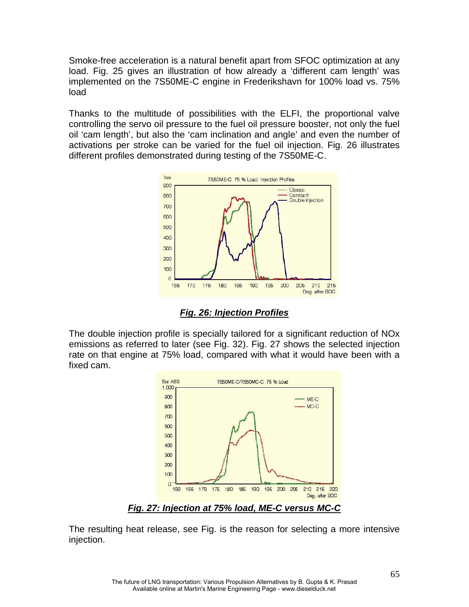Smoke-free acceleration is a natural benefit apart from SFOC optimization at any load. Fig. 25 gives an illustration of how already a 'different cam length' was implemented on the 7S50ME-C engine in Frederikshavn for 100% load vs. 75% load

Thanks to the multitude of possibilities with the ELFI, the proportional valve controlling the servo oil pressure to the fuel oil pressure booster, not only the fuel oil 'cam length', but also the 'cam inclination and angle' and even the number of activations per stroke can be varied for the fuel oil injection. Fig. 26 illustrates different profiles demonstrated during testing of the 7S50ME-C.



*Fig. 26: Injection Profiles*

The double injection profile is specially tailored for a significant reduction of NOx emissions as referred to later (see Fig. 32). Fig. 27 shows the selected injection rate on that engine at 75% load, compared with what it would have been with a fixed cam.



The resulting heat release, see Fig. is the reason for selecting a more intensive injection.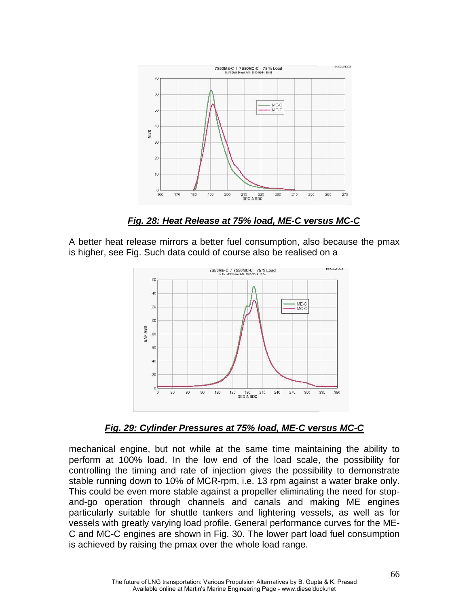

 *Fig. 28: Heat Release at 75% load, ME-C versus MC-C*

A better heat release mirrors a better fuel consumption, also because the pmax is higher, see Fig. Such data could of course also be realised on a



*Fig. 29: Cylinder Pressures at 75% load, ME-C versus MC-C*

mechanical engine, but not while at the same time maintaining the ability to perform at 100% load. In the low end of the load scale, the possibility for controlling the timing and rate of injection gives the possibility to demonstrate stable running down to 10% of MCR-rpm, i.e. 13 rpm against a water brake only. This could be even more stable against a propeller eliminating the need for stopand-go operation through channels and canals and making ME engines particularly suitable for shuttle tankers and lightering vessels, as well as for vessels with greatly varying load profile. General performance curves for the ME-C and MC-C engines are shown in Fig. 30. The lower part load fuel consumption is achieved by raising the pmax over the whole load range.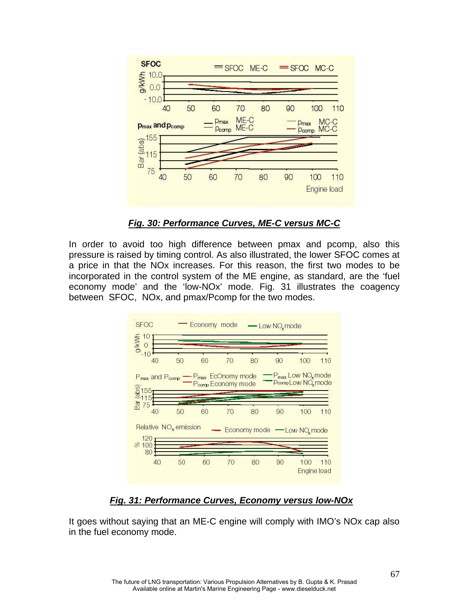

#### *Fig. 30: Performance Curves, ME-C versus MC-C*

In order to avoid too high difference between pmax and pcomp, also this pressure is raised by timing control. As also illustrated, the lower SFOC comes at a price in that the NOx increases. For this reason, the first two modes to be incorporated in the control system of the ME engine, as standard, are the 'fuel economy mode' and the 'low-NOx' mode. Fig. 31 illustrates the coagency between SFOC, NOx, and pmax/Pcomp for the two modes.



 *Fig. 31: Performance Curves, Economy versus low-NOx*

It goes without saying that an ME-C engine will comply with IMO's NOx cap also in the fuel economy mode.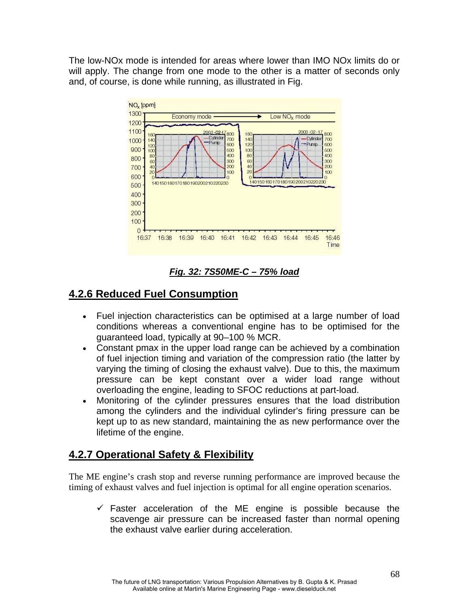The low-NOx mode is intended for areas where lower than IMO NOx limits do or will apply. The change from one mode to the other is a matter of seconds only and, of course, is done while running, as illustrated in Fig.



*Fig. 32: 7S50ME-C – 75% load*

# **4.2.6 Reduced Fuel Consumption**

- Fuel injection characteristics can be optimised at a large number of load conditions whereas a conventional engine has to be optimised for the guaranteed load, typically at 90–100 % MCR.
- Constant pmax in the upper load range can be achieved by a combination of fuel injection timing and variation of the compression ratio (the latter by varying the timing of closing the exhaust valve). Due to this, the maximum pressure can be kept constant over a wider load range without overloading the engine, leading to SFOC reductions at part-load.
- Monitoring of the cylinder pressures ensures that the load distribution among the cylinders and the individual cylinder's firing pressure can be kept up to as new standard, maintaining the as new performance over the lifetime of the engine.

# **4.2.7 Operational Safety & Flexibility**

The ME engine's crash stop and reverse running performance are improved because the timing of exhaust valves and fuel injection is optimal for all engine operation scenarios.

 $\checkmark$  Faster acceleration of the ME engine is possible because the scavenge air pressure can be increased faster than normal opening the exhaust valve earlier during acceleration.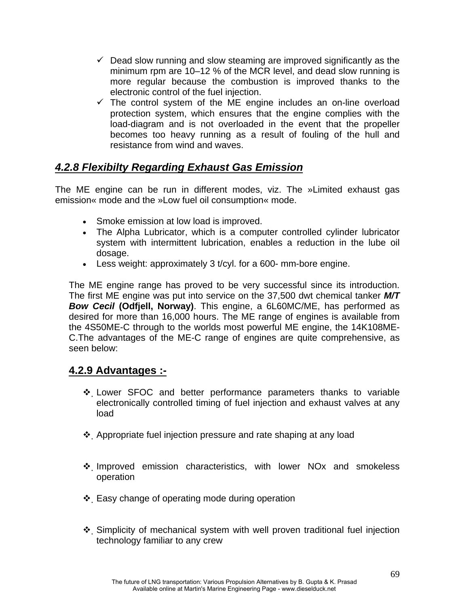- $\checkmark$  Dead slow running and slow steaming are improved significantly as the minimum rpm are 10–12 % of the MCR level, and dead slow running is more regular because the combustion is improved thanks to the electronic control of the fuel injection.
- $\checkmark$  The control system of the ME engine includes an on-line overload protection system, which ensures that the engine complies with the load-diagram and is not overloaded in the event that the propeller becomes too heavy running as a result of fouling of the hull and resistance from wind and waves.

# *4.2.8 Flexibilty Regarding Exhaust Gas Emission*

The ME engine can be run in different modes, viz. The »Limited exhaust gas emission« mode and the »Low fuel oil consumption« mode.

- Smoke emission at low load is improved.
- The Alpha Lubricator, which is a computer controlled cylinder lubricator system with intermittent lubrication, enables a reduction in the lube oil dosage.
- Less weight: approximately 3 t/cyl. for a 600- mm-bore engine.

The ME engine range has proved to be very successful since its introduction. The first ME engine was put into service on the 37,500 dwt chemical tanker *M/T Bow Cecil* **(Odfjell, Norway)**. This engine, a 6L60MC/ME, has performed as desired for more than 16,000 hours. The ME range of engines is available from the 4S50ME-C through to the worlds most powerful ME engine, the 14K108ME-C.The advantages of the ME-C range of engines are quite comprehensive, as seen below:

### **4.2.9 Advantages :-**

- Lower SFOC and better performance parameters thanks to variable electronically controlled timing of fuel injection and exhaust valves at any load
- Appropriate fuel injection pressure and rate shaping at any load
- \* Improved emission characteristics, with lower NOx and smokeless operation
- $\div$  Easy change of operating mode during operation
- Simplicity of mechanical system with well proven traditional fuel injection technology familiar to any crew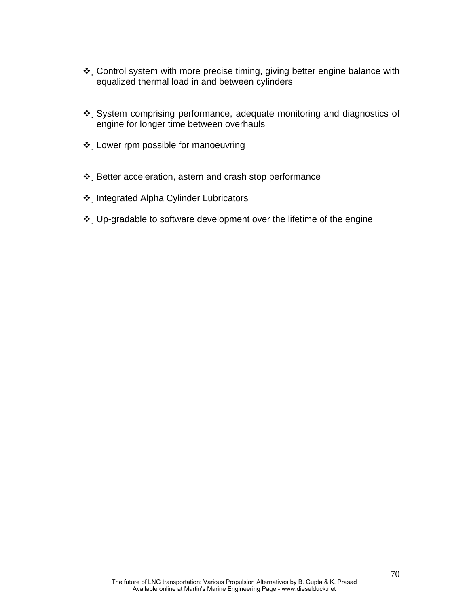- \* Control system with more precise timing, giving better engine balance with equalized thermal load in and between cylinders
- System comprising performance, adequate monitoring and diagnostics of engine for longer time between overhauls
- Lower rpm possible for manoeuvring
- Better acceleration, astern and crash stop performance
- Integrated Alpha Cylinder Lubricators
- Up-gradable to software development over the lifetime of the engine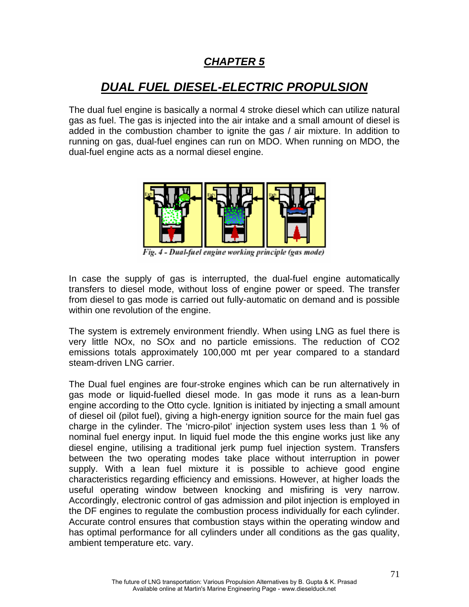# *CHAPTER 5*

# *DUAL FUEL DIESEL-ELECTRIC PROPULSION*

The dual fuel engine is basically a normal 4 stroke diesel which can utilize natural gas as fuel. The gas is injected into the air intake and a small amount of diesel is added in the combustion chamber to ignite the gas / air mixture. In addition to running on gas, dual-fuel engines can run on MDO. When running on MDO, the dual-fuel engine acts as a normal diesel engine.



Fig. 4 - Dual-fuel engine working principle (gas mode)

In case the supply of gas is interrupted, the dual-fuel engine automatically transfers to diesel mode, without loss of engine power or speed. The transfer from diesel to gas mode is carried out fully-automatic on demand and is possible within one revolution of the engine.

The system is extremely environment friendly. When using LNG as fuel there is very little NOx, no SOx and no particle emissions. The reduction of CO2 emissions totals approximately 100,000 mt per year compared to a standard steam-driven LNG carrier.

The Dual fuel engines are four-stroke engines which can be run alternatively in gas mode or liquid-fuelled diesel mode. In gas mode it runs as a lean-burn engine according to the Otto cycle. Ignition is initiated by injecting a small amount of diesel oil (pilot fuel), giving a high-energy ignition source for the main fuel gas charge in the cylinder. The 'micro-pilot' injection system uses less than 1 % of nominal fuel energy input. In liquid fuel mode the this engine works just like any diesel engine, utilising a traditional jerk pump fuel injection system. Transfers between the two operating modes take place without interruption in power supply. With a lean fuel mixture it is possible to achieve good engine characteristics regarding efficiency and emissions. However, at higher loads the useful operating window between knocking and misfiring is very narrow. Accordingly, electronic control of gas admission and pilot injection is employed in the DF engines to regulate the combustion process individually for each cylinder. Accurate control ensures that combustion stays within the operating window and has optimal performance for all cylinders under all conditions as the gas quality, ambient temperature etc. vary.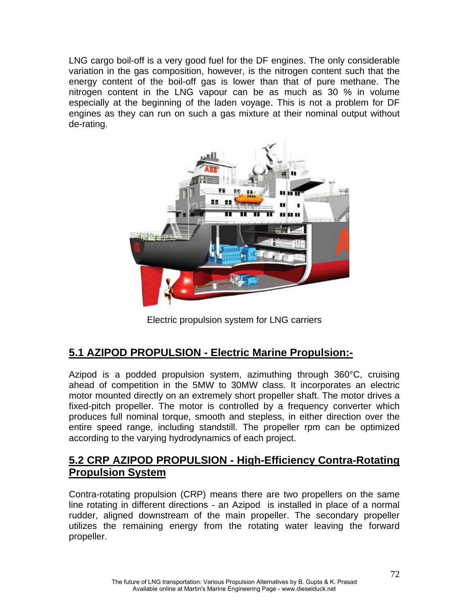LNG cargo boil-off is a very good fuel for the DF engines. The only considerable variation in the gas composition, however, is the nitrogen content such that the energy content of the boil-off gas is lower than that of pure methane. The nitrogen content in the LNG vapour can be as much as 30 % in volume especially at the beginning of the laden voyage. This is not a problem for DF engines as they can run on such a gas mixture at their nominal output without de-rating.



Electric propulsion system for LNG carriers

## **5.1 AZIPOD PROPULSION - Electric Marine Propulsion:-**

Azipod is a podded propulsion system, azimuthing through 360°C, cruising ahead of competition in the 5MW to 30MW class. It incorporates an electric motor mounted directly on an extremely short propeller shaft. The motor drives a fixed-pitch propeller. The motor is controlled by a frequency converter which produces full nominal torque, smooth and stepless, in either direction over the entire speed range, including standstill. The propeller rpm can be optimized according to the varying hydrodynamics of each project.

## **5.2 CRP AZIPOD PROPULSION - High-Efficiency Contra-Rotating Propulsion System**

Contra-rotating propulsion (CRP) means there are two propellers on the same line rotating in different directions - an Azipod is installed in place of a normal rudder, aligned downstream of the main propeller. The secondary propeller utilizes the remaining energy from the rotating water leaving the forward propeller.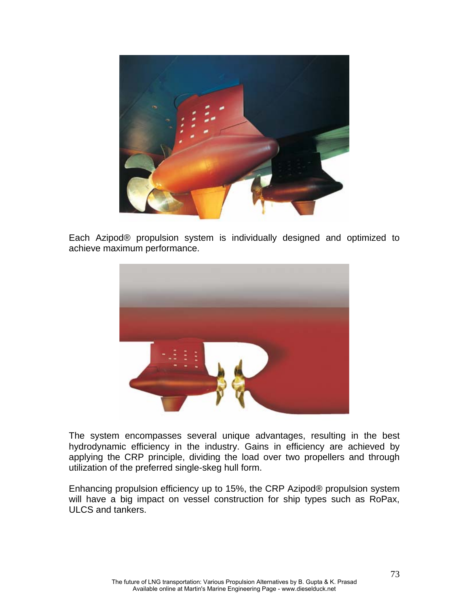

Each Azipod® propulsion system is individually designed and optimized to achieve maximum performance.



The system encompasses several unique advantages, resulting in the best hydrodynamic efficiency in the industry. Gains in efficiency are achieved by applying the CRP principle, dividing the load over two propellers and through utilization of the preferred single-skeg hull form.

Enhancing propulsion efficiency up to 15%, the CRP Azipod® propulsion system will have a big impact on vessel construction for ship types such as RoPax, ULCS and tankers.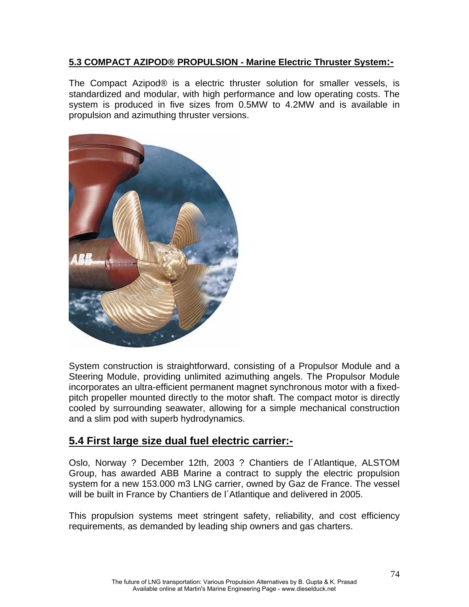### **5.3 COMPACT AZIPOD® PROPULSION - Marine Electric Thruster System:-**

The Compact Azipod® is a electric thruster solution for smaller vessels, is standardized and modular, with high performance and low operating costs. The system is produced in five sizes from 0.5MW to 4.2MW and is available in propulsion and azimuthing thruster versions.



System construction is straightforward, consisting of a Propulsor Module and a Steering Module, providing unlimited azimuthing angels. The Propulsor Module incorporates an ultra-efficient permanent magnet synchronous motor with a fixedpitch propeller mounted directly to the motor shaft. The compact motor is directly cooled by surrounding seawater, allowing for a simple mechanical construction and a slim pod with superb hydrodynamics.

## **5.4 First large size dual fuel electric carrier:-**

Oslo, Norway ? December 12th, 2003 ? Chantiers de l´Atlantique, ALSTOM Group, has awarded ABB Marine a contract to supply the electric propulsion system for a new 153.000 m3 LNG carrier, owned by Gaz de France. The vessel will be built in France by Chantiers de l´Atlantique and delivered in 2005.

This propulsion systems meet stringent safety, reliability, and cost efficiency requirements, as demanded by leading ship owners and gas charters.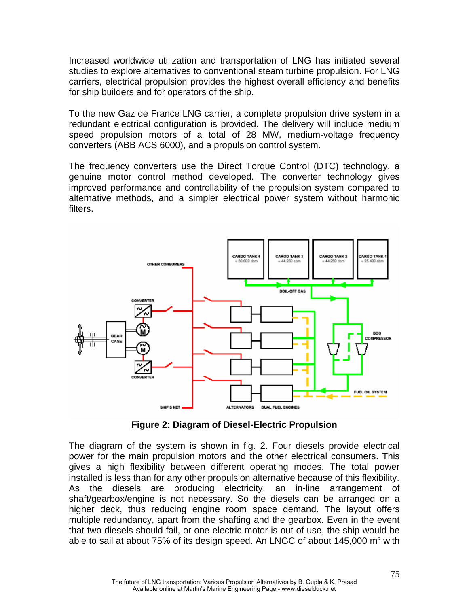Increased worldwide utilization and transportation of LNG has initiated several studies to explore alternatives to conventional steam turbine propulsion. For LNG carriers, electrical propulsion provides the highest overall efficiency and benefits for ship builders and for operators of the ship.

To the new Gaz de France LNG carrier, a complete propulsion drive system in a redundant electrical configuration is provided. The delivery will include medium speed propulsion motors of a total of 28 MW, medium-voltage frequency converters (ABB ACS 6000), and a propulsion control system.

The frequency converters use the Direct Torque Control (DTC) technology, a genuine motor control method developed. The converter technology gives improved performance and controllability of the propulsion system compared to alternative methods, and a simpler electrical power system without harmonic filters.



**Figure 2: Diagram of Diesel-Electric Propulsion** 

The diagram of the system is shown in fig. 2. Four diesels provide electrical power for the main propulsion motors and the other electrical consumers. This gives a high flexibility between different operating modes. The total power installed is less than for any other propulsion alternative because of this flexibility. As the diesels are producing electricity, an in-line arrangement of shaft/gearbox/engine is not necessary. So the diesels can be arranged on a higher deck, thus reducing engine room space demand. The layout offers multiple redundancy, apart from the shafting and the gearbox. Even in the event that two diesels should fail, or one electric motor is out of use, the ship would be able to sail at about 75% of its design speed. An LNGC of about 145,000 m<sup>3</sup> with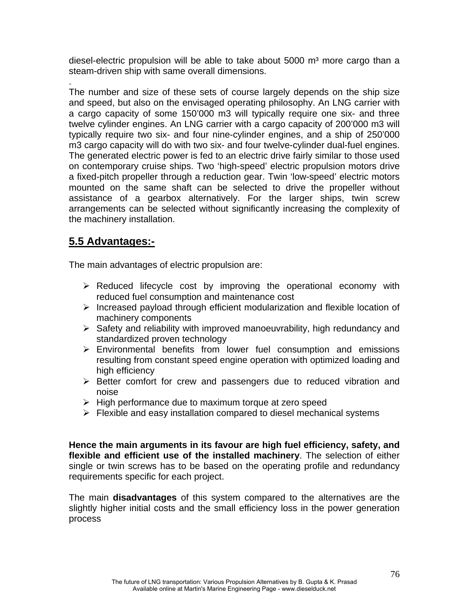diesel-electric propulsion will be able to take about  $5000 \text{ m}^3$  more cargo than a steam-driven ship with same overall dimensions.

The number and size of these sets of course largely depends on the ship size and speed, but also on the envisaged operating philosophy. An LNG carrier with a cargo capacity of some 150'000 m3 will typically require one six- and three twelve cylinder engines. An LNG carrier with a cargo capacity of 200'000 m3 will typically require two six- and four nine-cylinder engines, and a ship of 250'000 m3 cargo capacity will do with two six- and four twelve-cylinder dual-fuel engines. The generated electric power is fed to an electric drive fairly similar to those used on contemporary cruise ships. Two 'high-speed' electric propulsion motors drive a fixed-pitch propeller through a reduction gear. Twin 'low-speed' electric motors mounted on the same shaft can be selected to drive the propeller without assistance of a gearbox alternatively. For the larger ships, twin screw arrangements can be selected without significantly increasing the complexity of the machinery installation.

## **5.5 Advantages:-**

.

The main advantages of electric propulsion are:

- $\triangleright$  Reduced lifecycle cost by improving the operational economy with reduced fuel consumption and maintenance cost
- $\triangleright$  Increased payload through efficient modularization and flexible location of machinery components
- ¾ Safety and reliability with improved manoeuvrability, high redundancy and standardized proven technology
- $\triangleright$  Environmental benefits from lower fuel consumption and emissions resulting from constant speed engine operation with optimized loading and high efficiency
- $\triangleright$  Better comfort for crew and passengers due to reduced vibration and noise
- $\triangleright$  High performance due to maximum torque at zero speed
- $\triangleright$  Flexible and easy installation compared to diesel mechanical systems

**Hence the main arguments in its favour are high fuel efficiency, safety, and flexible and efficient use of the installed machinery**. The selection of either single or twin screws has to be based on the operating profile and redundancy requirements specific for each project.

The main **disadvantages** of this system compared to the alternatives are the slightly higher initial costs and the small efficiency loss in the power generation process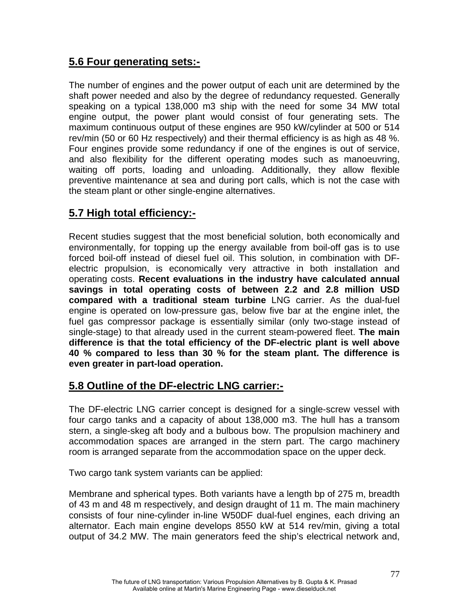# **5.6 Four generating sets:-**

The number of engines and the power output of each unit are determined by the shaft power needed and also by the degree of redundancy requested. Generally speaking on a typical 138,000 m3 ship with the need for some 34 MW total engine output, the power plant would consist of four generating sets. The maximum continuous output of these engines are 950 kW/cylinder at 500 or 514 rev/min (50 or 60 Hz respectively) and their thermal efficiency is as high as 48 %. Four engines provide some redundancy if one of the engines is out of service, and also flexibility for the different operating modes such as manoeuvring, waiting off ports, loading and unloading. Additionally, they allow flexible preventive maintenance at sea and during port calls, which is not the case with the steam plant or other single-engine alternatives.

# **5.7 High total efficiency:-**

Recent studies suggest that the most beneficial solution, both economically and environmentally, for topping up the energy available from boil-off gas is to use forced boil-off instead of diesel fuel oil. This solution, in combination with DFelectric propulsion, is economically very attractive in both installation and operating costs. **Recent evaluations in the industry have calculated annual savings in total operating costs of between 2.2 and 2.8 million USD compared with a traditional steam turbine** LNG carrier. As the dual-fuel engine is operated on low-pressure gas, below five bar at the engine inlet, the fuel gas compressor package is essentially similar (only two-stage instead of single-stage) to that already used in the current steam-powered fleet. **The main difference is that the total efficiency of the DF-electric plant is well above 40 % compared to less than 30 % for the steam plant. The difference is even greater in part-load operation.**

## **5.8 Outline of the DF-electric LNG carrier:-**

The DF-electric LNG carrier concept is designed for a single-screw vessel with four cargo tanks and a capacity of about 138,000 m3. The hull has a transom stern, a single-skeg aft body and a bulbous bow. The propulsion machinery and accommodation spaces are arranged in the stern part. The cargo machinery room is arranged separate from the accommodation space on the upper deck.

Two cargo tank system variants can be applied:

Membrane and spherical types. Both variants have a length bp of 275 m, breadth of 43 m and 48 m respectively, and design draught of 11 m. The main machinery consists of four nine-cylinder in-line W50DF dual-fuel engines, each driving an alternator. Each main engine develops 8550 kW at 514 rev/min, giving a total output of 34.2 MW. The main generators feed the ship's electrical network and,